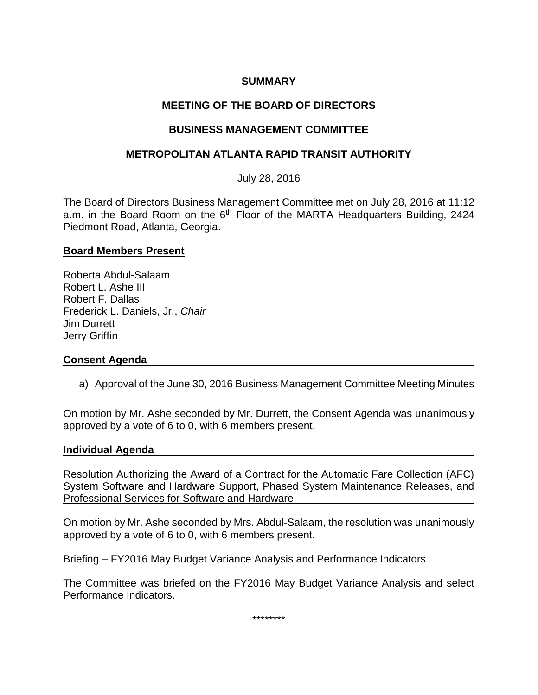## **SUMMARY**

# **MEETING OF THE BOARD OF DIRECTORS**

### **BUSINESS MANAGEMENT COMMITTEE**

### **METROPOLITAN ATLANTA RAPID TRANSIT AUTHORITY**

July 28, 2016

The Board of Directors Business Management Committee met on July 28, 2016 at 11:12 a.m. in the Board Room on the 6<sup>th</sup> Floor of the MARTA Headquarters Building, 2424 Piedmont Road, Atlanta, Georgia.

#### **Board Members Present**

Roberta Abdul-Salaam Robert L. Ashe III Robert F. Dallas Frederick L. Daniels, Jr., *Chair* Jim Durrett Jerry Griffin

### **Consent Agenda**

a) Approval of the June 30, 2016 Business Management Committee Meeting Minutes

On motion by Mr. Ashe seconded by Mr. Durrett, the Consent Agenda was unanimously approved by a vote of 6 to 0, with 6 members present.

#### **Individual Agenda**

Resolution Authorizing the Award of a Contract for the Automatic Fare Collection (AFC) System Software and Hardware Support, Phased System Maintenance Releases, and Professional Services for Software and Hardware

On motion by Mr. Ashe seconded by Mrs. Abdul-Salaam, the resolution was unanimously approved by a vote of 6 to 0, with 6 members present.

Briefing – FY2016 May Budget Variance Analysis and Performance Indicators

The Committee was briefed on the FY2016 May Budget Variance Analysis and select Performance Indicators.

\*\*\*\*\*\*\*\*